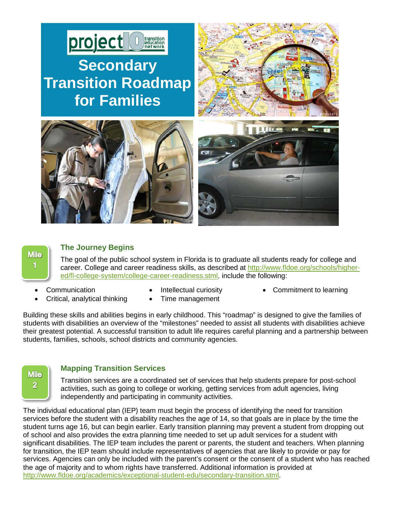



# **The Journey Begins**

The goal of the public school system in Florida is to graduate all students ready for college and career. College and career readiness skills, as described at [http://www.fldoe.org/schools/higher](http://www.fldoe.org/schools/higher-ed/fl-college-system/college-career-readiness.stml)[ed/fl-college-system/college-career-readiness.stml,](http://www.fldoe.org/schools/higher-ed/fl-college-system/college-career-readiness.stml) include the following:

- 
- Communication Intellectual curiosity Commitment to learning

Building these skills and abilities begins in early childhood. This "roadmap" is designed to give the families of students with disabilities an overview of the "milestones" needed to assist all students with disabilities achieve their greatest potential. A successful transition to adult life requires careful planning and a partnership between students, families, schools, school districts and community agencies.



## **Mapping Transition Services**

• Critical, analytical thinking • Time management

Transition services are a coordinated set of services that help students prepare for post-school activities, such as going to college or working, getting services from adult agencies, living independently and participating in community activities.

The individual educational plan (IEP) team must begin the process of identifying the need for transition services before the student with a disability reaches the age of 14, so that goals are in place by the time the student turns age 16, but can begin earlier. Early transition planning may prevent a student from dropping out of school and also provides the extra planning time needed to set up adult services for a student with significant disabilities. The IEP team includes the parent or parents, the student and teachers. When planning for transition, the IEP team should include representatives of agencies that are likely to provide or pay for services. Agencies can only be included with the parent's consent or the consent of a student who has reached the age of majority and to whom rights have transferred. Additional information is provided at [http://www.fldoe.org/academics/exceptional-student-edu/secondary-transition.stml.](http://www.fldoe.org/academics/exceptional-student-edu/secondary-transition.stml)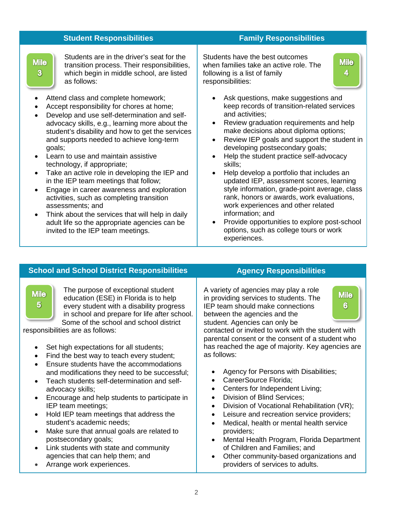| <b>Student Responsibilities</b>                                                                                                                                                                                                                                                                                                                                                                                                                                                                                                                                                                                                                                                                                                                 |                                                                                                                                      | <b>Family Responsibilities</b>                      |                                                                                                                                                                                                                                                                                                                                                                                                                                                                                                                                                                                                                                                                              |                  |
|-------------------------------------------------------------------------------------------------------------------------------------------------------------------------------------------------------------------------------------------------------------------------------------------------------------------------------------------------------------------------------------------------------------------------------------------------------------------------------------------------------------------------------------------------------------------------------------------------------------------------------------------------------------------------------------------------------------------------------------------------|--------------------------------------------------------------------------------------------------------------------------------------|-----------------------------------------------------|------------------------------------------------------------------------------------------------------------------------------------------------------------------------------------------------------------------------------------------------------------------------------------------------------------------------------------------------------------------------------------------------------------------------------------------------------------------------------------------------------------------------------------------------------------------------------------------------------------------------------------------------------------------------------|------------------|
| <b>Mile</b><br>$\overline{\mathbf{3}}$<br>as follows:                                                                                                                                                                                                                                                                                                                                                                                                                                                                                                                                                                                                                                                                                           | Students are in the driver's seat for the<br>transition process. Their responsibilities,<br>which begin in middle school, are listed | responsibilities:                                   | Students have the best outcomes<br>when families take an active role. The<br>following is a list of family                                                                                                                                                                                                                                                                                                                                                                                                                                                                                                                                                                   | <b>Mile</b><br>4 |
| Attend class and complete homework;<br>Accept responsibility for chores at home;<br>Develop and use self-determination and self-<br>advocacy skills, e.g., learning more about the<br>student's disability and how to get the services<br>and supports needed to achieve long-term<br>goals;<br>Learn to use and maintain assistive<br>technology, if appropriate;<br>Take an active role in developing the IEP and<br>in the IEP team meetings that follow;<br>Engage in career awareness and exploration<br>$\bullet$<br>activities, such as completing transition<br>assessments; and<br>Think about the services that will help in daily<br>$\bullet$<br>adult life so the appropriate agencies can be<br>invited to the IEP team meetings. |                                                                                                                                      | $\bullet$<br>$\bullet$<br>$\bullet$<br>experiences. | Ask questions, make suggestions and<br>keep records of transition-related services<br>and activities;<br>Review graduation requirements and help<br>make decisions about diploma options;<br>Review IEP goals and support the student in<br>developing postsecondary goals;<br>Help the student practice self-advocacy<br>skills;<br>Help develop a portfolio that includes an<br>updated IEP, assessment scores, learning<br>style information, grade-point average, class<br>rank, honors or awards, work evaluations,<br>work experiences and other related<br>information; and<br>Provide opportunities to explore post-school<br>options, such as college tours or work |                  |

#### **School and School District Responsibilities <b>Agency Responsibilities** The purpose of exceptional student A variety of agencies may play a role **Mile Mile** education (ESE) in Florida is to help in providing services to students. The  $5^{\circ}$ every student with a disability progress IEP team should make connections  $6^{\circ}$ in school and prepare for life after school. between the agencies and the Some of the school and school district student. Agencies can only be contacted or invited to work with the student with responsibilities are as follows: parental consent or the consent of a student who has reached the age of majority. Key agencies are Set high expectations for all students; as follows: Find the best way to teach every student; • Ensure students have the accommodations • Agency for Persons with Disabilities; and modifications they need to be successful; • CareerSource Florida; • Teach students self-determination and self-• Centers for Independent Living; advocacy skills; • Encourage and help students to participate in • Division of Blind Services; • Division of Vocational Rehabilitation (VR); IEP team meetings; • Hold IEP team meetings that address the Leisure and recreation service providers; student's academic needs; • Medical, health or mental health service Make sure that annual goals are related to providers; postsecondary goals; • Mental Health Program, Florida Department of Children and Families; and • Link students with state and community agencies that can help them; and • Other community-based organizations and • Arrange work experiences. providers of services to adults.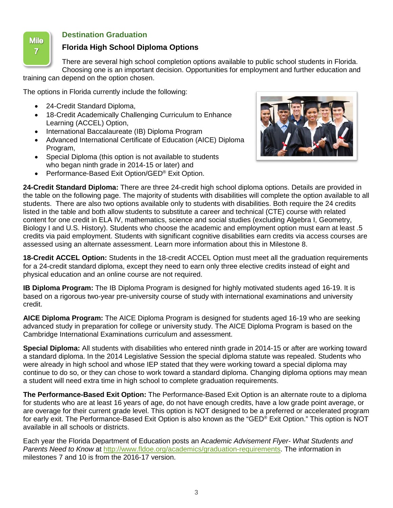

# **Destination Graduation**

# **Florida High School Diploma Options**

There are several high school completion options available to public school students in Florida. Choosing one is an important decision. Opportunities for employment and further education and

training can depend on the option chosen.

The options in Florida currently include the following:

- 24-Credit Standard Diploma,
- 18-Credit Academically Challenging Curriculum to Enhance Learning (ACCEL) Option,
- International Baccalaureate (IB) Diploma Program
- Advanced International Certificate of Education (AICE) Diploma Program,
- Special Diploma (this option is not available to students who began ninth grade in 2014-15 or later) and
- Performance-Based Exit Option/GED<sup>®</sup> Exit Option.



**24-Credit Standard Diploma:** There are three 24-credit high school diploma options. Details are provided in the table on the following page. The majority of students with disabilities will complete the option available to all students. There are also two options available only to students with disabilities. Both require the 24 credits listed in the table and both allow students to substitute a career and technical (CTE) course with related content for one credit in ELA IV, mathematics, science and social studies (excluding Algebra I, Geometry, Biology I and U.S. History). Students who choose the academic and employment option must earn at least .5 credits via paid employment. Students with significant cognitive disabilities earn credits via access courses are assessed using an alternate assessment. Learn more information about this in Milestone 8.

**18-Credit ACCEL Option:** Students in the 18-credit ACCEL Option must meet all the graduation requirements for a 24-credit standard diploma, except they need to earn only three elective credits instead of eight and physical education and an online course are not required.

**IB Diploma Program:** The IB Diploma Program is designed for highly motivated students aged 16-19. It is based on a rigorous two-year pre-university course of study with international examinations and university credit.

**AICE Diploma Program:** The AICE Diploma Program is designed for students aged 16-19 who are seeking advanced study in preparation for college or university study. The AICE Diploma Program is based on the Cambridge International Examinations curriculum and assessment.

**Special Diploma:** All students with disabilities who entered ninth grade in 2014-15 or after are working toward a standard diploma. In the 2014 Legislative Session the special diploma statute was repealed. Students who were already in high school and whose IEP stated that they were working toward a special diploma may continue to do so, or they can chose to work toward a standard diploma. Changing diploma options may mean a student will need extra time in high school to complete graduation requirements.

**The Performance-Based Exit Option:** The Performance-Based Exit Option is an alternate route to a diploma for students who are at least 16 years of age, do not have enough credits, have a low grade point average, or are overage for their current grade level. This option is NOT designed to be a preferred or accelerated program for early exit. The Performance-Based Exit Option is also known as the "GED® Exit Option." This option is NOT available in all schools or districts.

Each year the Florida Department of Education posts an A*cademic Advisement Flyer- What Students and Parents Need to Know* at [http://www.fldoe.org/academics/graduation-requirements.](http://www.fldoe.org/academics/graduation-requirements) The information in milestones 7 and 10 is from the 2016-17 version.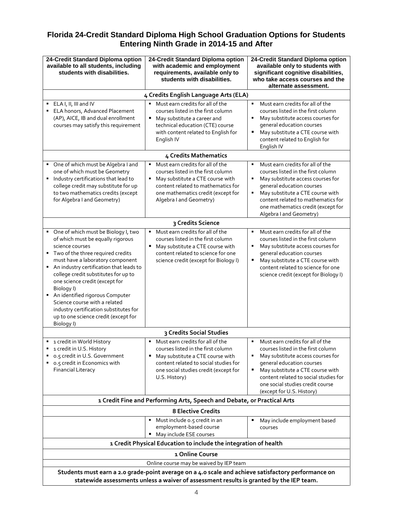# **Florida 24-Credit Standard Diploma High School Graduation Options for Students Entering Ninth Grade in 2014-15 and After**

| 24-Credit Standard Diploma option<br>available to all students, including<br>students with disabilities.                                                                                                                                                                                                                                                                                                                                                               | 24-Credit Standard Diploma option<br>with academic and employment<br>requirements, available only to<br>students with disabilities.                                                                                         | 24-Credit Standard Diploma option<br>available only to students with<br>significant cognitive disabilities,<br>who take access courses and the<br>alternate assessment.                                                                                                                       |  |  |  |
|------------------------------------------------------------------------------------------------------------------------------------------------------------------------------------------------------------------------------------------------------------------------------------------------------------------------------------------------------------------------------------------------------------------------------------------------------------------------|-----------------------------------------------------------------------------------------------------------------------------------------------------------------------------------------------------------------------------|-----------------------------------------------------------------------------------------------------------------------------------------------------------------------------------------------------------------------------------------------------------------------------------------------|--|--|--|
| 4 Credits English Language Arts (ELA)                                                                                                                                                                                                                                                                                                                                                                                                                                  |                                                                                                                                                                                                                             |                                                                                                                                                                                                                                                                                               |  |  |  |
| ELA I, II, III and IV<br>ELA honors, Advanced Placement<br>(AP), AICE, IB and dual enrollment<br>courses may satisfy this requirement                                                                                                                                                                                                                                                                                                                                  | Must earn credits for all of the<br>courses listed in the first column<br>May substitute a career and<br>٠<br>technical education (CTE) course<br>with content related to English for<br>English IV                         | Must earn credits for all of the<br>courses listed in the first column<br>May substitute access courses for<br>general education courses<br>May substitute a CTE course with<br>٠<br>content related to English for<br>English IV                                                             |  |  |  |
|                                                                                                                                                                                                                                                                                                                                                                                                                                                                        | 4 Credits Mathematics                                                                                                                                                                                                       |                                                                                                                                                                                                                                                                                               |  |  |  |
| • One of which must be Algebra I and<br>one of which must be Geometry<br>Industry certifications that lead to<br>college credit may substitute for up<br>to two mathematics credits (except<br>for Algebra I and Geometry)                                                                                                                                                                                                                                             | Must earn credits for all of the<br>٠<br>courses listed in the first column<br>May substitute a CTE course with<br>٠<br>content related to mathematics for<br>one mathematics credit (except for<br>Algebra I and Geometry) | Must earn credits for all of the<br>٠<br>courses listed in the first column<br>May substitute access courses for<br>general education courses<br>May substitute a CTE course with<br>٠<br>content related to mathematics for<br>one mathematics credit (except for<br>Algebra I and Geometry) |  |  |  |
|                                                                                                                                                                                                                                                                                                                                                                                                                                                                        | 3 Credits Science                                                                                                                                                                                                           |                                                                                                                                                                                                                                                                                               |  |  |  |
| • One of which must be Biology I, two<br>of which must be equally rigorous<br>science courses<br>" Two of the three required credits<br>must have a laboratory component<br>An industry certification that leads to<br>college credit substitutes for up to<br>one science credit (except for<br>Biology I)<br>An identified rigorous Computer<br>٠<br>Science course with a related<br>industry certification substitutes for<br>up to one science credit (except for | Must earn credits for all of the<br>٠<br>courses listed in the first column<br>May substitute a CTE course with<br>٠<br>content related to science for one<br>science credit (except for Biology I)                         | Must earn credits for all of the<br>courses listed in the first column<br>May substitute access courses for<br>general education courses<br>May substitute a CTE course with<br>content related to science for one<br>science credit (except for Biology I)                                   |  |  |  |
| Biology I)<br>3 Credits Social Studies                                                                                                                                                                                                                                                                                                                                                                                                                                 |                                                                                                                                                                                                                             |                                                                                                                                                                                                                                                                                               |  |  |  |
| 1 credit in World History<br>1 credit in U.S. History<br>٠<br>o.5 credit in U.S. Government<br>0.5 credit in Economics with<br><b>Financial Literacy</b>                                                                                                                                                                                                                                                                                                               | Must earn credits for all of the<br>courses listed in the first column<br>May substitute a CTE course with<br>٠<br>content related to social studies for<br>one social studies credit (except for<br>U.S. History)          | Must earn credits for all of the<br>courses listed in the first column<br>May substitute access courses for<br>general education courses<br>May substitute a CTE course with<br>content related to social studies for<br>one social studies credit course<br>(except for U.S. History)        |  |  |  |
| 1 Credit Fine and Performing Arts, Speech and Debate, or Practical Arts                                                                                                                                                                                                                                                                                                                                                                                                |                                                                                                                                                                                                                             |                                                                                                                                                                                                                                                                                               |  |  |  |
| <b>8 Elective Credits</b>                                                                                                                                                                                                                                                                                                                                                                                                                                              |                                                                                                                                                                                                                             |                                                                                                                                                                                                                                                                                               |  |  |  |
|                                                                                                                                                                                                                                                                                                                                                                                                                                                                        | Must include o.5 credit in an<br>٠.<br>employment-based course<br>May include ESE courses                                                                                                                                   | May include employment based<br>courses                                                                                                                                                                                                                                                       |  |  |  |
| 1 Credit Physical Education to include the integration of health                                                                                                                                                                                                                                                                                                                                                                                                       |                                                                                                                                                                                                                             |                                                                                                                                                                                                                                                                                               |  |  |  |
| 1 Online Course<br>Online course may be waived by IEP team                                                                                                                                                                                                                                                                                                                                                                                                             |                                                                                                                                                                                                                             |                                                                                                                                                                                                                                                                                               |  |  |  |
| Students must earn a 2.0 grade-point average on a 4.0 scale and achieve satisfactory performance on<br>statewide assessments unless a waiver of assessment results is granted by the IEP team.                                                                                                                                                                                                                                                                         |                                                                                                                                                                                                                             |                                                                                                                                                                                                                                                                                               |  |  |  |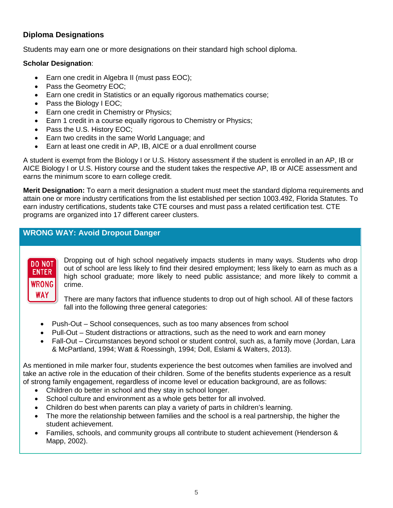# **Diploma Designations**

Students may earn one or more designations on their standard high school diploma.

# **Scholar Designation**:

- Earn one credit in Algebra II (must pass EOC);
- Pass the Geometry EOC;
- Earn one credit in Statistics or an equally rigorous mathematics course;
- Pass the Biology I EOC;
- Earn one credit in Chemistry or Physics;
- Earn 1 credit in a course equally rigorous to Chemistry or Physics;
- Pass the U.S. History EOC;
- Earn two credits in the same World Language; and
- Earn at least one credit in AP, IB, AICE or a dual enrollment course

A student is exempt from the Biology I or U.S. History assessment if the student is enrolled in an AP, IB or AICE Biology I or U.S. History course and the student takes the respective AP, IB or AICE assessment and earns the minimum score to earn college credit.

**Merit Designation:** To earn a merit designation a student must meet the standard diploma requirements and attain one or more industry certifications from the list established per section 1003.492, Florida Statutes. To earn industry certifications, students take CTE courses and must pass a related certification test. CTE programs are organized into 17 different career clusters.

# **WRONG WAY: Avoid Dropout Danger**



Dropping out of high school negatively impacts students in many ways. Students who drop out of school are less likely to find their desired employment; less likely to earn as much as a high school graduate; more likely to need public assistance; and more likely to commit a crime.

There are many factors that influence students to drop out of high school. All of these factors fall into the following three general categories:

- Push-Out School consequences, such as too many absences from school
- Pull-Out Student distractions or attractions, such as the need to work and earn money
- Fall-Out Circumstances beyond school or student control, such as, a family move (Jordan, Lara & McPartland, 1994; Watt & Roessingh, 1994; Doll, Eslami & Walters, 2013).

As mentioned in mile marker four, students experience the best outcomes when families are involved and take an active role in the education of their children. Some of the benefits students experience as a result of strong family engagement, regardless of income level or education background, are as follows:

- Children do better in school and they stay in school longer.
- School culture and environment as a whole gets better for all involved.
- Children do best when parents can play a variety of parts in children's learning.
- The more the relationship between families and the school is a real partnership, the higher the student achievement.
- Families, schools, and community groups all contribute to student achievement (Henderson & Mapp, 2002).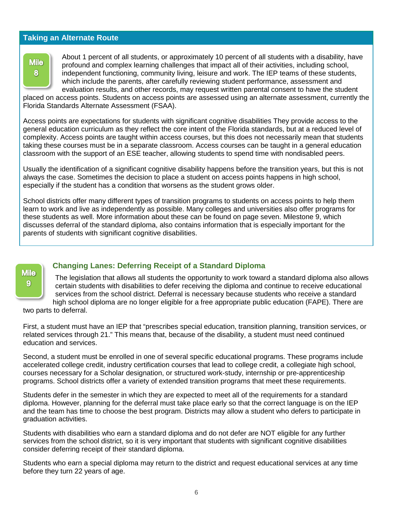## **Taking an Alternate Route**



About 1 percent of all students, or approximately 10 percent of all students with a disability, have profound and complex learning challenges that impact all of their activities, including school, independent functioning, community living, leisure and work. The IEP teams of these students, which include the parents, after carefully reviewing student performance, assessment and evaluation results, and other records, may request written parental consent to have the student

placed on access points. Students on access points are assessed using an alternate assessment, currently the Florida Standards Alternate Assessment (FSAA).

Access points are expectations for students with significant cognitive disabilities They provide access to the general education curriculum as they reflect the core intent of the Florida standards, but at a reduced level of complexity. Access points are taught within access courses, but this does not necessarily mean that students taking these courses must be in a separate classroom. Access courses can be taught in a general education classroom with the support of an ESE teacher, allowing students to spend time with nondisabled peers.

Usually the identification of a significant cognitive disability happens before the transition years, but this is not always the case. Sometimes the decision to place a student on access points happens in high school, especially if the student has a condition that worsens as the student grows older.

School districts offer many different types of transition programs to students on access points to help them learn to work and live as independently as possible. Many colleges and universities also offer programs for these students as well. More information about these can be found on page seven. Milestone 9, which discusses deferral of the standard diploma, also contains information that is especially important for the parents of students with significant cognitive disabilities.



# **Changing Lanes: Deferring Receipt of a Standard Diploma**

The legislation that allows all students the opportunity to work toward a standard diploma also allows certain students with disabilities to defer receiving the diploma and continue to receive educational services from the school district. Deferral is necessary because students who receive a standard high school diploma are no longer eligible for a free appropriate public education (FAPE). There are

two parts to deferral.

First, a student must have an IEP that "prescribes special education, transition planning, transition services, or related services through 21." This means that, because of the disability, a student must need continued education and services.

Second, a student must be enrolled in one of several specific educational programs. These programs include accelerated college credit, industry certification courses that lead to college credit, a collegiate high school, courses necessary for a Scholar designation, or structured work-study, internship or pre-apprenticeship programs. School districts offer a variety of extended transition programs that meet these requirements.

Students defer in the semester in which they are expected to meet all of the requirements for a standard diploma. However, planning for the deferral must take place early so that the correct language is on the IEP and the team has time to choose the best program. Districts may allow a student who defers to participate in graduation activities.

Students with disabilities who earn a standard diploma and do not defer are NOT eligible for any further services from the school district, so it is very important that students with significant cognitive disabilities consider deferring receipt of their standard diploma.

Students who earn a special diploma may return to the district and request educational services at any time before they turn 22 years of age.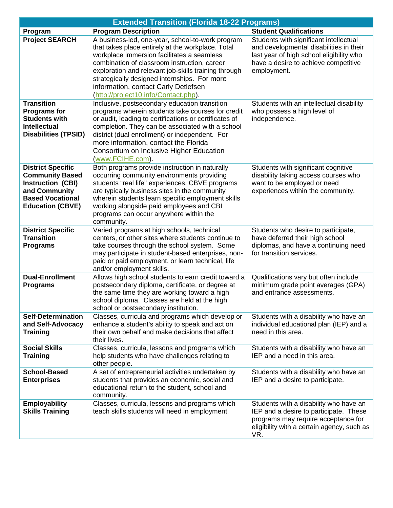|                                                                                                                                                | <b>Extended Transition (Florida 18-22 Programs)</b>                                                                                                                                                                                                                                                                                                                                         |                                                                                                                                                                                      |
|------------------------------------------------------------------------------------------------------------------------------------------------|---------------------------------------------------------------------------------------------------------------------------------------------------------------------------------------------------------------------------------------------------------------------------------------------------------------------------------------------------------------------------------------------|--------------------------------------------------------------------------------------------------------------------------------------------------------------------------------------|
| Program                                                                                                                                        | <b>Program Description</b>                                                                                                                                                                                                                                                                                                                                                                  | <b>Student Qualifications</b>                                                                                                                                                        |
| <b>Project SEARCH</b>                                                                                                                          | A business-led, one-year, school-to-work program<br>that takes place entirely at the workplace. Total<br>workplace immersion facilitates a seamless<br>combination of classroom instruction, career<br>exploration and relevant job-skills training through<br>strategically designed internships. For more<br>information, contact Carly Detlefsen<br>(http://project10.info/Contact.php). | Students with significant intellectual<br>and developmental disabilities in their<br>last year of high school eligibility who<br>have a desire to achieve competitive<br>employment. |
| <b>Transition</b><br><b>Programs for</b><br><b>Students with</b><br><b>Intellectual</b><br><b>Disabilities (TPSID)</b>                         | Inclusive, postsecondary education transition<br>programs wherein students take courses for credit<br>or audit, leading to certifications or certificates of<br>completion. They can be associated with a school<br>district (dual enrollment) or independent. For<br>more information, contact the Florida<br>Consortium on Inclusive Higher Education<br>(www.FCIHE.com).                 | Students with an intellectual disability<br>who possess a high level of<br>independence.                                                                                             |
| <b>District Specific</b><br><b>Community Based</b><br>Instruction (CBI)<br>and Community<br><b>Based Vocational</b><br><b>Education (CBVE)</b> | Both programs provide instruction in naturally<br>occurring community environments providing<br>students "real life" experiences. CBVE programs<br>are typically business sites in the community<br>wherein students learn specific employment skills<br>working alongside paid employees and CBI<br>programs can occur anywhere within the<br>community.                                   | Students with significant cognitive<br>disability taking access courses who<br>want to be employed or need<br>experiences within the community.                                      |
| <b>District Specific</b><br><b>Transition</b><br><b>Programs</b>                                                                               | Varied programs at high schools, technical<br>centers, or other sites where students continue to<br>take courses through the school system. Some<br>may participate in student-based enterprises, non-<br>paid or paid employment, or learn technical, life<br>and/or employment skills.                                                                                                    | Students who desire to participate,<br>have deferred their high school<br>diplomas, and have a continuing need<br>for transition services.                                           |
| <b>Dual-Enrollment</b><br><b>Programs</b>                                                                                                      | Allows high school students to earn credit toward a<br>postsecondary diploma, certificate, or degree at<br>the same time they are working toward a high<br>school diploma. Classes are held at the high<br>school or postsecondary institution.                                                                                                                                             | Qualifications vary but often include<br>minimum grade point averages (GPA)<br>and entrance assessments.                                                                             |
| <b>Self-Determination</b><br>and Self-Advocacy<br><b>Training</b>                                                                              | Classes, curricula and programs which develop or<br>enhance a student's ability to speak and act on<br>their own behalf and make decisions that affect<br>their lives.                                                                                                                                                                                                                      | Students with a disability who have an<br>individual educational plan (IEP) and a<br>need in this area.                                                                              |
| <b>Social Skills</b><br><b>Training</b>                                                                                                        | Classes, curricula, lessons and programs which<br>help students who have challenges relating to<br>other people.                                                                                                                                                                                                                                                                            | Students with a disability who have an<br>IEP and a need in this area.                                                                                                               |
| <b>School-Based</b><br><b>Enterprises</b>                                                                                                      | A set of entrepreneurial activities undertaken by<br>students that provides an economic, social and<br>educational return to the student, school and<br>community.                                                                                                                                                                                                                          | Students with a disability who have an<br>IEP and a desire to participate.                                                                                                           |
| <b>Employability</b><br><b>Skills Training</b>                                                                                                 | Classes, curricula, lessons and programs which<br>teach skills students will need in employment.                                                                                                                                                                                                                                                                                            | Students with a disability who have an<br>IEP and a desire to participate. These<br>programs may require acceptance for<br>eligibility with a certain agency, such as<br>VR.         |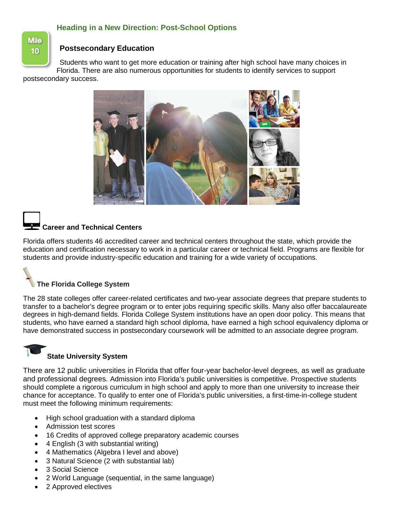# **Heading in a New Direction: Post-School Options**

**Mile** 10

## **Postsecondary Education**

Students who want to get more education or training after high school have many choices in Florida. There are also numerous opportunities for students to identify services to support

postsecondary success.



# **Career and Technical Centers**

Florida offers students 46 accredited career and technical centers throughout the state, which provide the education and certification necessary to work in a particular career or technical field. Programs are flexible for students and provide industry-specific education and training for a wide variety of occupations.



The 28 state colleges offer career-related certificates and two-year associate degrees that prepare students to transfer to a bachelor's degree program or to enter jobs requiring specific skills. Many also offer baccalaureate degrees in high-demand fields. Florida College System institutions have an open door policy. This means that students, who have earned a standard high school diploma, have earned a high school equivalency diploma or have demonstrated success in postsecondary coursework will be admitted to an associate degree program.

# **State University System**

There are 12 public universities in Florida that offer four-year bachelor-level degrees, as well as graduate and professional degrees. Admission into Florida's public universities is competitive. Prospective students should complete a rigorous curriculum in high school and apply to more than one university to increase their chance for acceptance. To qualify to enter one of Florida's public universities, a first-time-in-college student must meet the following minimum requirements:

- High school graduation with a standard diploma
- Admission test scores
- 16 Credits of approved college preparatory academic courses
- 4 English (3 with substantial writing)
- 4 Mathematics (Algebra I level and above)
- 3 Natural Science (2 with substantial lab)
- 3 Social Science
- 2 World Language (sequential, in the same language)
- 2 Approved electives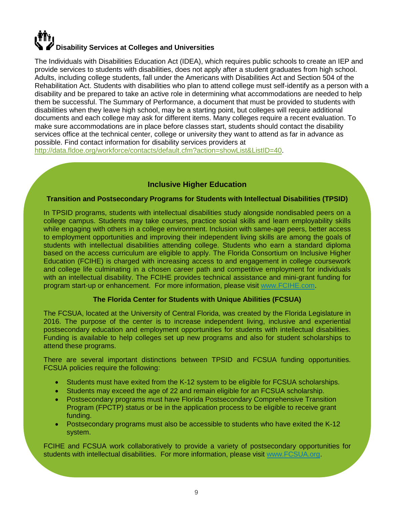# **Disability Services at Colleges and Universities**

The Individuals with Disabilities Education Act (IDEA), which requires public schools to create an IEP and provide services to students with disabilities, does not apply after a student graduates from high school. Adults, including college students, fall under the Americans with Disabilities Act and Section 504 of the Rehabilitation Act. Students with disabilities who plan to attend college must self-identify as a person with a disability and be prepared to take an active role in determining what accommodations are needed to help them be successful. The Summary of Performance, a document that must be provided to students with disabilities when they leave high school, may be a starting point, but colleges will require additional documents and each college may ask for different items. Many colleges require a recent evaluation. To make sure accommodations are in place before classes start, students should contact the disability services office at the technical center, college or university they want to attend as far in advance as possible. Find contact information for disability services providers at

[http://data.fldoe.org/workforce/contacts/default.cfm?action=showList&ListID=40.](http://data.fldoe.org/workforce/contacts/default.cfm?action=showList&ListID=40)

# **Inclusive Higher Education**

# **Transition and Postsecondary Programs for Students with Intellectual Disabilities (TPSID)**

In TPSID programs, students with intellectual disabilities study alongside nondisabled peers on a college campus. Students may take courses, practice social skills and learn employability skills while engaging with others in a college environment. Inclusion with same-age peers, better access to employment opportunities and improving their independent living skills are among the goals of students with intellectual disabilities attending college. Students who earn a standard diploma based on the access curriculum are eligible to apply. The Florida Consortium on Inclusive Higher Education (FCIHE) is charged with increasing access to and engagement in college coursework and college life culminating in a chosen career path and competitive employment for individuals with an intellectual disability. The FCIHE provides technical assistance and mini-grant funding for program start-up or enhancement. For more information, please visit [www.FCIHE.com.](http://www.fcihe.com/)

# **The Florida Center for Students with Unique Abilities (FCSUA)**

The FCSUA, located at the University of Central Florida, was created by the Florida Legislature in 2016. The purpose of the center is to increase independent living, inclusive and experiential postsecondary education and employment opportunities for students with intellectual disabilities. Funding is available to help colleges set up new programs and also for student scholarships to attend these programs.

There are several important distinctions between TPSID and FCSUA funding opportunities. FCSUA policies require the following:

- Students must have exited from the K-12 system to be eligible for FCSUA scholarships.
- Students may exceed the age of 22 and remain eligible for an FCSUA scholarship.
- Postsecondary programs must have Florida Postsecondary Comprehensive Transition Program (FPCTP) status or be in the application process to be eligible to receive grant funding.
- Postsecondary programs must also be accessible to students who have exited the K-12 system.

FCIHE and FCSUA work collaboratively to provide a variety of postsecondary opportunities for students with intellectual disabilities. For more information, please visit [www.FCSUA.org.](http://www.fcsua.org/)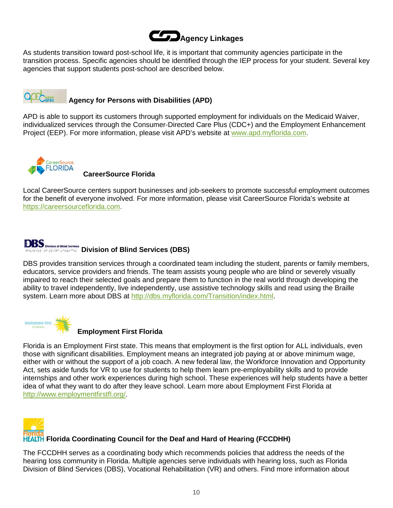

As students transition toward post-school life, it is important that community agencies participate in the transition process. Specific agencies should be identified through the IEP process for your student. Several key agencies that support students post-school are described below.



# **Agency for Persons with Disabilities (APD)**

APD is able to support its customers through supported employment for individuals on the Medicaid Waiver, individualized services through the Consumer-Directed Care Plus (CDC+) and the Employment Enhancement Project (EEP). For more information, please visit APD's website at [www.apd.myflorida.com.](http://www.apd.myflorida.com/)



**CareerSource Florida**

Local CareerSource centers support businesses and job-seekers to promote successful employment outcomes for the benefit of everyone involved. For more information, please visit CareerSource Florida's website at [https://careersourceflorida.com.](https://careersourceflorida.com/)

# **DBS** Division of Blind Services<br> **Division of Blind Services (DBS)**

DBS provides transition services through a coordinated team including the student, parents or family members, educators, service providers and friends. The team assists young people who are blind or severely visually impaired to reach their selected goals and prepare them to function in the real world through developing the ability to travel independently, live independently, use assistive technology skills and read using the Braille system. Learn more about DBS at [http://dbs.myflorida.com/Transition/index.html.](http://dbs.myflorida.com/Transition/index.html)



# **Employment First Florida**

Florida is an Employment First state. This means that employment is the first option for ALL individuals, even those with significant disabilities. Employment means an integrated job paying at or above minimum wage, either with or without the support of a job coach. A new federal law, the Workforce Innovation and Opportunity Act, sets aside funds for VR to use for students to help them learn pre-employability skills and to provide internships and other work experiences during high school. These experiences will help students have a better idea of what they want to do after they leave school. Learn more about Employment First Florida at [http://www.employmentfirstfl.org/.](http://www.employmentfirstfl.org/)



# **HEALTH Florida Coordinating Council for the Deaf and Hard of Hearing (FCCDHH)**

The FCCDHH serves as a coordinating body which recommends policies that address the needs of the hearing loss community in Florida. Multiple agencies serve individuals with hearing loss, such as Florida Division of Blind Services (DBS), Vocational Rehabilitation (VR) and others. Find more information about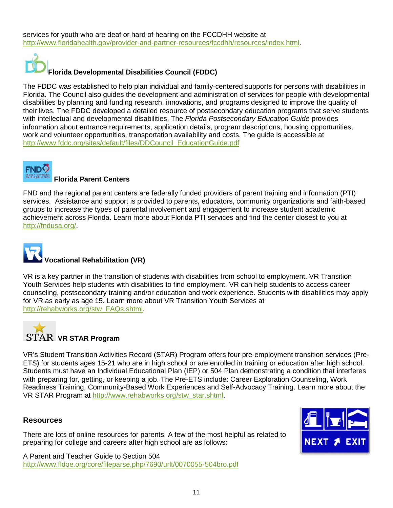services for youth who are deaf or hard of hearing on the FCCDHH website at [http://www.floridahealth.gov/provider-and-partner-resources/fccdhh/resources/index.html.](http://www.floridahealth.gov/provider-and-partner-resources/fccdhh/resources/index.html)



# **Florida Developmental Disabilities Council (FDDC)**

The FDDC was established to help plan individual and family-centered supports for persons with disabilities in Florida. The Council also guides the development and administration of services for people with developmental disabilities by planning and funding research, innovations, and programs designed to improve the quality of their lives. The FDDC developed a detailed resource of postsecondary education programs that serve students with intellectual and developmental disabilities. The *Florida Postsecondary Education Guide* provides information about entrance requirements, application details, program descriptions, housing opportunities, work and volunteer opportunities, transportation availability and costs. The guide is accessible at [http://www.fddc.org/sites/default/files/DDCouncil\\_EducationGuide.pdf](http://www.fddc.org/sites/default/files/DDCouncil_EducationGuide.pdf)



# **Florida Parent Centers**

FND and the regional parent centers are federally funded providers of parent training and information (PTI) services. Assistance and support is provided to parents, educators, community organizations and faith-based groups to increase the types of parental involvement and engagement to increase student academic achievement across Florida. Learn more about Florida PTI services and find the center closest to you at [http://fndusa.org/.](http://fndusa.org/)



VR is a key partner in the transition of students with disabilities from school to employment. VR Transition Youth Services help students with disabilities to find employment. VR can help students to access career counseling, postsecondary training and/or education and work experience. Students with disabilities may apply for VR as early as age 15. Learn more about VR Transition Youth Services at [http://rehabworks.org/stw\\_FAQs.shtml.](http://rehabworks.org/stw_FAQs.shtml)



VR's Student Transition Activities Record (STAR) Program offers four pre-employment transition services (Pre-ETS) for students ages 15-21 who are in high school or are enrolled in training or education after high school. Students must have an Individual Educational Plan (IEP) or 504 Plan demonstrating a condition that interferes with preparing for, getting, or keeping a job. The Pre-ETS include: Career Exploration Counseling, Work Readiness Training, Community-Based Work Experiences and Self-Advocacy Training. Learn more about the VR STAR Program at [http://www.rehabworks.org/stw\\_star.shtml.](http://www.rehabworks.org/stw_star.shtml)

# **Resources**

There are lots of online resources for parents. A few of the most helpful as related to preparing for college and careers after high school are as follows:

A Parent and Teacher Guide to Section 504 <http://www.fldoe.org/core/fileparse.php/7690/urlt/0070055-504bro.pdf>